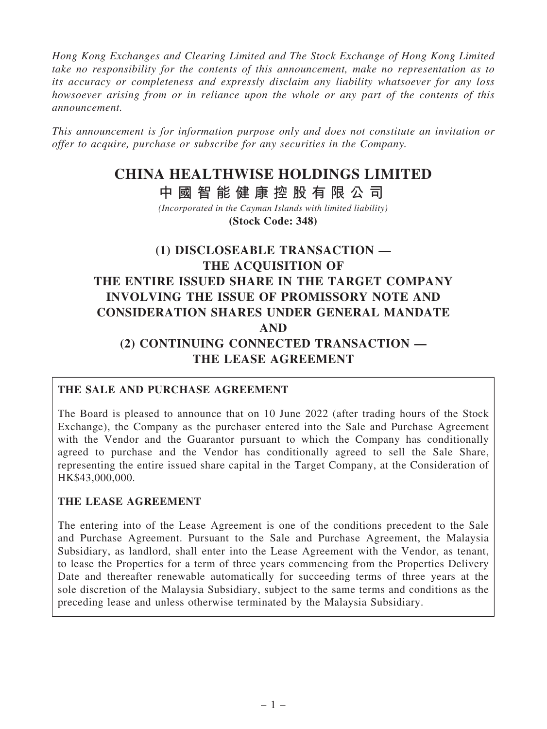*Hong Kong Exchanges and Clearing Limited and The Stock Exchange of Hong Kong Limited take no responsibility for the contents of this announcement, make no representation as to its accuracy or completeness and expressly disclaim any liability whatsoever for any loss howsoever arising from or in reliance upon the whole or any part of the contents of this announcement.*

*This announcement is for information purpose only and does not constitute an invitation or offer to acquire, purchase or subscribe for any securities in the Company.*

# **CHINA HEALTHWISE HOLDINGS LIMITED**

**中 國 智 能 健 康 控 股 有 限 公 司**

*(Incorporated in the Cayman Islands with limited liability)* **(Stock Code: 348)**

# (1) DISCLOSEABLE TRANSACTION — THE ACOUISITION OF THE ENTIRE ISSUED SHARE IN THE TARGET COMPANY INVOLVING THE ISSUE OF PROMISSORY NOTE AND CONSIDERATION SHARES UNDER GENERAL MANDATE AND (2) CONTINUING CONNECTED TRANSACTION — THE LEASE AGREEMENT

# THE SALE AND PURCHASE AGREEMENT

The Board is pleased to announce that on 10 June 2022 (after trading hours of the Stock Exchange), the Company as the purchaser entered into the Sale and Purchase Agreement with the Vendor and the Guarantor pursuant to which the Company has conditionally agreed to purchase and the Vendor has conditionally agreed to sell the Sale Share, representing the entire issued share capital in the Target Company, at the Consideration of HK\$43,000,000.

# THE LEASE AGREEMENT

The entering into of the Lease Agreement is one of the conditions precedent to the Sale and Purchase Agreement. Pursuant to the Sale and Purchase Agreement, the Malaysia Subsidiary, as landlord, shall enter into the Lease Agreement with the Vendor, as tenant, to lease the Properties for a term of three years commencing from the Properties Delivery Date and thereafter renewable automatically for succeeding terms of three years at the sole discretion of the Malaysia Subsidiary, subject to the same terms and conditions as the preceding lease and unless otherwise terminated by the Malaysia Subsidiary.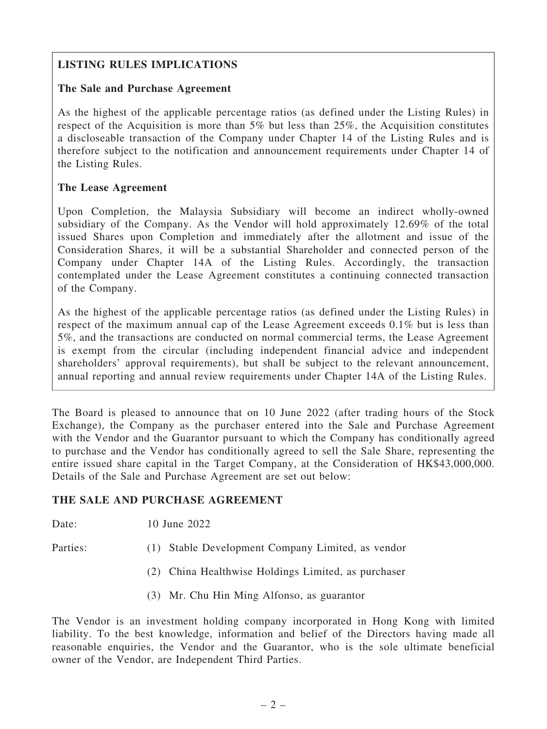# LISTING RULES IMPLICATIONS

# The Sale and Purchase Agreement

As the highest of the applicable percentage ratios (as defined under the Listing Rules) in respect of the Acquisition is more than 5% but less than 25%, the Acquisition constitutes a discloseable transaction of the Company under Chapter 14 of the Listing Rules and is therefore subject to the notification and announcement requirements under Chapter 14 of the Listing Rules.

# The Lease Agreement

Upon Completion, the Malaysia Subsidiary will become an indirect wholly-owned subsidiary of the Company. As the Vendor will hold approximately 12.69% of the total issued Shares upon Completion and immediately after the allotment and issue of the Consideration Shares, it will be a substantial Shareholder and connected person of the Company under Chapter 14A of the Listing Rules. Accordingly, the transaction contemplated under the Lease Agreement constitutes a continuing connected transaction of the Company.

As the highest of the applicable percentage ratios (as defined under the Listing Rules) in respect of the maximum annual cap of the Lease Agreement exceeds 0.1% but is less than 5%, and the transactions are conducted on normal commercial terms, the Lease Agreement is exempt from the circular (including independent financial advice and independent shareholders' approval requirements), but shall be subject to the relevant announcement, annual reporting and annual review requirements under Chapter 14A of the Listing Rules.

The Board is pleased to announce that on 10 June 2022 (after trading hours of the Stock Exchange), the Company as the purchaser entered into the Sale and Purchase Agreement with the Vendor and the Guarantor pursuant to which the Company has conditionally agreed to purchase and the Vendor has conditionally agreed to sell the Sale Share, representing the entire issued share capital in the Target Company, at the Consideration of HK\$43,000,000. Details of the Sale and Purchase Agreement are set out below:

# THE SALE AND PURCHASE AGREEMENT

Date: 10 June 2022

- Parties: (1) Stable Development Company Limited, as vendor
	- (2) China Healthwise Holdings Limited, as purchaser
	- (3) Mr. Chu Hin Ming Alfonso, as guarantor

The Vendor is an investment holding company incorporated in Hong Kong with limited liability. To the best knowledge, information and belief of the Directors having made all reasonable enquiries, the Vendor and the Guarantor, who is the sole ultimate beneficial owner of the Vendor, are Independent Third Parties.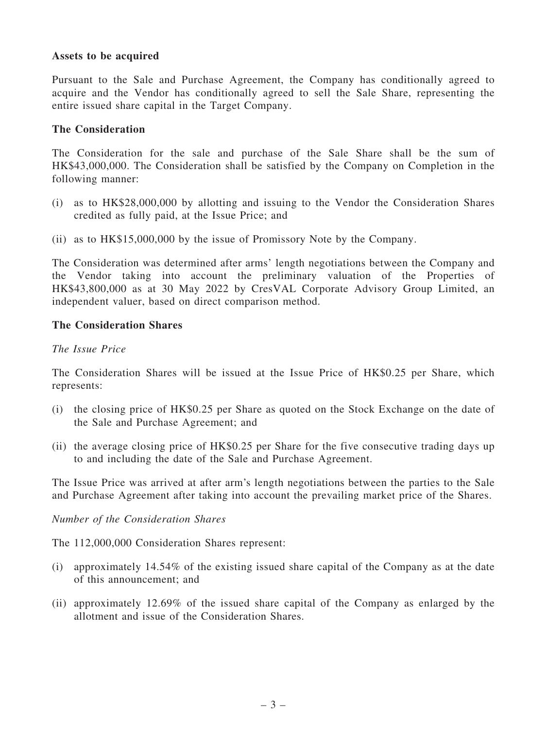#### Assets to be acquired

Pursuant to the Sale and Purchase Agreement, the Company has conditionally agreed to acquire and the Vendor has conditionally agreed to sell the Sale Share, representing the entire issued share capital in the Target Company.

#### The Consideration

The Consideration for the sale and purchase of the Sale Share shall be the sum of HK\$43,000,000. The Consideration shall be satisfied by the Company on Completion in the following manner:

- (i) as to HK\$28,000,000 by allotting and issuing to the Vendor the Consideration Shares credited as fully paid, at the Issue Price; and
- (ii) as to HK\$15,000,000 by the issue of Promissory Note by the Company.

The Consideration was determined after arms' length negotiations between the Company and the Vendor taking into account the preliminary valuation of the Properties of HK\$43,800,000 as at 30 May 2022 by CresVAL Corporate Advisory Group Limited, an independent valuer, based on direct comparison method.

#### The Consideration Shares

#### *The Issue Price*

The Consideration Shares will be issued at the Issue Price of HK\$0.25 per Share, which represents:

- (i) the closing price of HK\$0.25 per Share as quoted on the Stock Exchange on the date of the Sale and Purchase Agreement; and
- (ii) the average closing price of HK\$0.25 per Share for the five consecutive trading days up to and including the date of the Sale and Purchase Agreement.

The Issue Price was arrived at after arm's length negotiations between the parties to the Sale and Purchase Agreement after taking into account the prevailing market price of the Shares.

#### *Number of the Consideration Shares*

The 112,000,000 Consideration Shares represent:

- (i) approximately 14.54% of the existing issued share capital of the Company as at the date of this announcement; and
- (ii) approximately 12.69% of the issued share capital of the Company as enlarged by the allotment and issue of the Consideration Shares.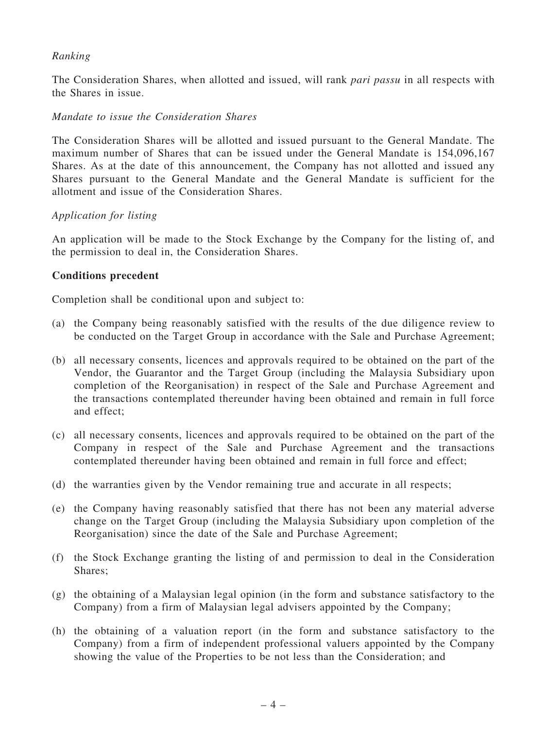### *Ranking*

The Consideration Shares, when allotted and issued, will rank *pari passu* in all respects with the Shares in issue.

#### *Mandate to issue the Consideration Shares*

The Consideration Shares will be allotted and issued pursuant to the General Mandate. The maximum number of Shares that can be issued under the General Mandate is 154,096,167 Shares. As at the date of this announcement, the Company has not allotted and issued any Shares pursuant to the General Mandate and the General Mandate is sufficient for the allotment and issue of the Consideration Shares.

#### *Application for listing*

An application will be made to the Stock Exchange by the Company for the listing of, and the permission to deal in, the Consideration Shares.

#### Conditions precedent

Completion shall be conditional upon and subject to:

- (a) the Company being reasonably satisfied with the results of the due diligence review to be conducted on the Target Group in accordance with the Sale and Purchase Agreement;
- (b) all necessary consents, licences and approvals required to be obtained on the part of the Vendor, the Guarantor and the Target Group (including the Malaysia Subsidiary upon completion of the Reorganisation) in respect of the Sale and Purchase Agreement and the transactions contemplated thereunder having been obtained and remain in full force and effect;
- (c) all necessary consents, licences and approvals required to be obtained on the part of the Company in respect of the Sale and Purchase Agreement and the transactions contemplated thereunder having been obtained and remain in full force and effect;
- (d) the warranties given by the Vendor remaining true and accurate in all respects;
- (e) the Company having reasonably satisfied that there has not been any material adverse change on the Target Group (including the Malaysia Subsidiary upon completion of the Reorganisation) since the date of the Sale and Purchase Agreement;
- (f) the Stock Exchange granting the listing of and permission to deal in the Consideration Shares;
- (g) the obtaining of a Malaysian legal opinion (in the form and substance satisfactory to the Company) from a firm of Malaysian legal advisers appointed by the Company;
- (h) the obtaining of a valuation report (in the form and substance satisfactory to the Company) from a firm of independent professional valuers appointed by the Company showing the value of the Properties to be not less than the Consideration; and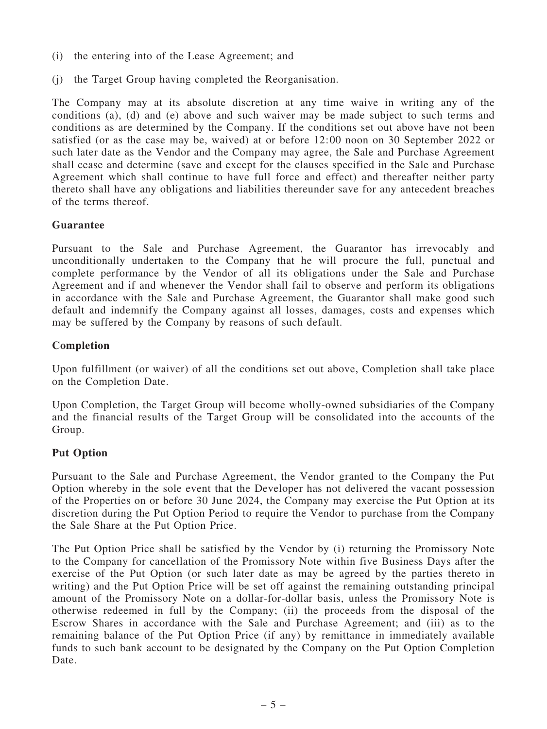- (i) the entering into of the Lease Agreement; and
- (j) the Target Group having completed the Reorganisation.

The Company may at its absolute discretion at any time waive in writing any of the conditions (a), (d) and (e) above and such waiver may be made subject to such terms and conditions as are determined by the Company. If the conditions set out above have not been satisfied (or as the case may be, waived) at or before 12:00 noon on 30 September 2022 or such later date as the Vendor and the Company may agree, the Sale and Purchase Agreement shall cease and determine (save and except for the clauses specified in the Sale and Purchase Agreement which shall continue to have full force and effect) and thereafter neither party thereto shall have any obligations and liabilities thereunder save for any antecedent breaches of the terms thereof.

# Guarantee

Pursuant to the Sale and Purchase Agreement, the Guarantor has irrevocably and unconditionally undertaken to the Company that he will procure the full, punctual and complete performance by the Vendor of all its obligations under the Sale and Purchase Agreement and if and whenever the Vendor shall fail to observe and perform its obligations in accordance with the Sale and Purchase Agreement, the Guarantor shall make good such default and indemnify the Company against all losses, damages, costs and expenses which may be suffered by the Company by reasons of such default.

# Completion

Upon fulfillment (or waiver) of all the conditions set out above, Completion shall take place on the Completion Date.

Upon Completion, the Target Group will become wholly-owned subsidiaries of the Company and the financial results of the Target Group will be consolidated into the accounts of the Group.

# Put Option

Pursuant to the Sale and Purchase Agreement, the Vendor granted to the Company the Put Option whereby in the sole event that the Developer has not delivered the vacant possession of the Properties on or before 30 June 2024, the Company may exercise the Put Option at its discretion during the Put Option Period to require the Vendor to purchase from the Company the Sale Share at the Put Option Price.

The Put Option Price shall be satisfied by the Vendor by (i) returning the Promissory Note to the Company for cancellation of the Promissory Note within five Business Days after the exercise of the Put Option (or such later date as may be agreed by the parties thereto in writing) and the Put Option Price will be set off against the remaining outstanding principal amount of the Promissory Note on a dollar-for-dollar basis, unless the Promissory Note is otherwise redeemed in full by the Company; (ii) the proceeds from the disposal of the Escrow Shares in accordance with the Sale and Purchase Agreement; and (iii) as to the remaining balance of the Put Option Price (if any) by remittance in immediately available funds to such bank account to be designated by the Company on the Put Option Completion Date.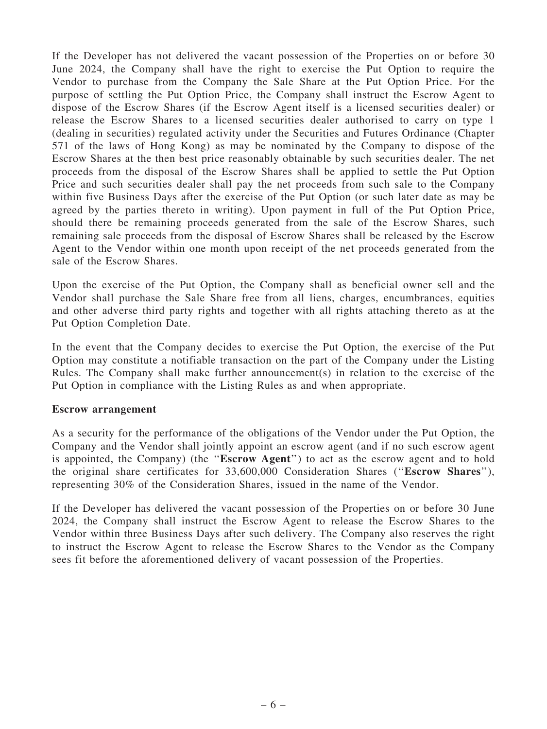If the Developer has not delivered the vacant possession of the Properties on or before 30 June 2024, the Company shall have the right to exercise the Put Option to require the Vendor to purchase from the Company the Sale Share at the Put Option Price. For the purpose of settling the Put Option Price, the Company shall instruct the Escrow Agent to dispose of the Escrow Shares (if the Escrow Agent itself is a licensed securities dealer) or release the Escrow Shares to a licensed securities dealer authorised to carry on type 1 (dealing in securities) regulated activity under the Securities and Futures Ordinance (Chapter 571 of the laws of Hong Kong) as may be nominated by the Company to dispose of the Escrow Shares at the then best price reasonably obtainable by such securities dealer. The net proceeds from the disposal of the Escrow Shares shall be applied to settle the Put Option Price and such securities dealer shall pay the net proceeds from such sale to the Company within five Business Days after the exercise of the Put Option (or such later date as may be agreed by the parties thereto in writing). Upon payment in full of the Put Option Price, should there be remaining proceeds generated from the sale of the Escrow Shares, such remaining sale proceeds from the disposal of Escrow Shares shall be released by the Escrow Agent to the Vendor within one month upon receipt of the net proceeds generated from the sale of the Escrow Shares.

Upon the exercise of the Put Option, the Company shall as beneficial owner sell and the Vendor shall purchase the Sale Share free from all liens, charges, encumbrances, equities and other adverse third party rights and together with all rights attaching thereto as at the Put Option Completion Date.

In the event that the Company decides to exercise the Put Option, the exercise of the Put Option may constitute a notifiable transaction on the part of the Company under the Listing Rules. The Company shall make further announcement(s) in relation to the exercise of the Put Option in compliance with the Listing Rules as and when appropriate.

#### Escrow arrangement

As a security for the performance of the obligations of the Vendor under the Put Option, the Company and the Vendor shall jointly appoint an escrow agent (and if no such escrow agent is appointed, the Company) (the ''Escrow Agent'') to act as the escrow agent and to hold the original share certificates for 33,600,000 Consideration Shares (''Escrow Shares''), representing 30% of the Consideration Shares, issued in the name of the Vendor.

If the Developer has delivered the vacant possession of the Properties on or before 30 June 2024, the Company shall instruct the Escrow Agent to release the Escrow Shares to the Vendor within three Business Days after such delivery. The Company also reserves the right to instruct the Escrow Agent to release the Escrow Shares to the Vendor as the Company sees fit before the aforementioned delivery of vacant possession of the Properties.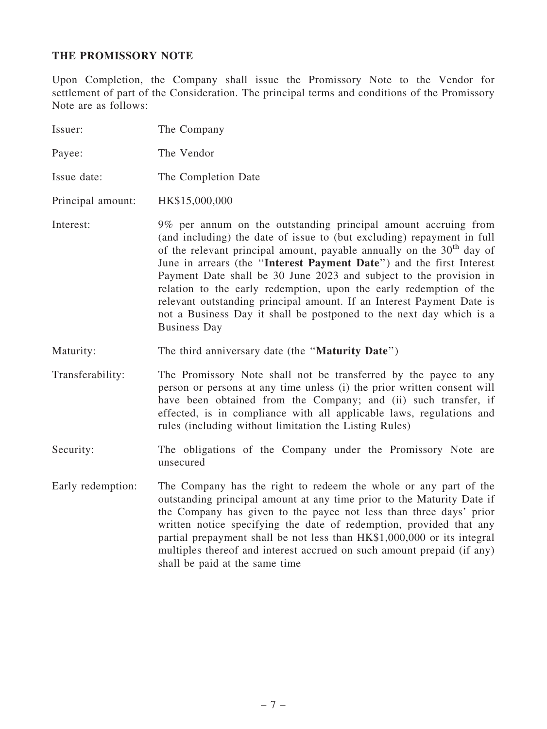# THE PROMISSORY NOTE

Upon Completion, the Company shall issue the Promissory Note to the Vendor for settlement of part of the Consideration. The principal terms and conditions of the Promissory Note are as follows:

| Issuer:           | The Company                                                                                                                                                                                                                                                                                                                                                                                                                                                                                                                                                                                                    |
|-------------------|----------------------------------------------------------------------------------------------------------------------------------------------------------------------------------------------------------------------------------------------------------------------------------------------------------------------------------------------------------------------------------------------------------------------------------------------------------------------------------------------------------------------------------------------------------------------------------------------------------------|
| Payee:            | The Vendor                                                                                                                                                                                                                                                                                                                                                                                                                                                                                                                                                                                                     |
| Issue date:       | The Completion Date                                                                                                                                                                                                                                                                                                                                                                                                                                                                                                                                                                                            |
| Principal amount: | HK\$15,000,000                                                                                                                                                                                                                                                                                                                                                                                                                                                                                                                                                                                                 |
| Interest:         | 9% per annum on the outstanding principal amount accruing from<br>(and including) the date of issue to (but excluding) repayment in full<br>of the relevant principal amount, payable annually on the $30th$ day of<br>June in arrears (the "Interest Payment Date") and the first Interest<br>Payment Date shall be 30 June 2023 and subject to the provision in<br>relation to the early redemption, upon the early redemption of the<br>relevant outstanding principal amount. If an Interest Payment Date is<br>not a Business Day it shall be postponed to the next day which is a<br><b>Business Day</b> |
| Maturity:         | The third anniversary date (the "Maturity Date")                                                                                                                                                                                                                                                                                                                                                                                                                                                                                                                                                               |
| Transferability:  | The Promissory Note shall not be transferred by the payee to any<br>person or persons at any time unless (i) the prior written consent will<br>have been obtained from the Company; and (ii) such transfer, if<br>effected, is in compliance with all applicable laws, regulations and<br>rules (including without limitation the Listing Rules)                                                                                                                                                                                                                                                               |
| Security:         | The obligations of the Company under the Promissory Note are<br>unsecured                                                                                                                                                                                                                                                                                                                                                                                                                                                                                                                                      |
| Early redemption: | The Company has the right to redeem the whole or any part of the<br>outstanding principal amount at any time prior to the Maturity Date if<br>the Company has given to the payee not less than three days' prior<br>written notice specifying the date of redemption, provided that any<br>partial prepayment shall be not less than HK\$1,000,000 or its integral<br>multiples thereof and interest accrued on such amount prepaid (if any)<br>shall be paid at the same time                                                                                                                                 |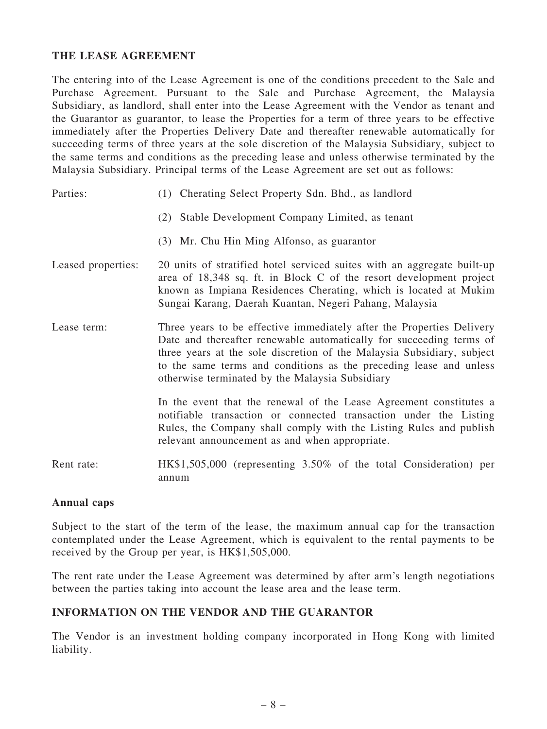# THE LEASE AGREEMENT

The entering into of the Lease Agreement is one of the conditions precedent to the Sale and Purchase Agreement. Pursuant to the Sale and Purchase Agreement, the Malaysia Subsidiary, as landlord, shall enter into the Lease Agreement with the Vendor as tenant and the Guarantor as guarantor, to lease the Properties for a term of three years to be effective immediately after the Properties Delivery Date and thereafter renewable automatically for succeeding terms of three years at the sole discretion of the Malaysia Subsidiary, subject to the same terms and conditions as the preceding lease and unless otherwise terminated by the Malaysia Subsidiary. Principal terms of the Lease Agreement are set out as follows:

Parties: (1) Cherating Select Property Sdn. Bhd., as landlord (2) Stable Development Company Limited, as tenant (3) Mr. Chu Hin Ming Alfonso, as guarantor Leased properties: 20 units of stratified hotel serviced suites with an aggregate built-up area of 18,348 sq. ft. in Block C of the resort development project known as Impiana Residences Cherating, which is located at Mukim Sungai Karang, Daerah Kuantan, Negeri Pahang, Malaysia Lease term: Three years to be effective immediately after the Properties Delivery Date and thereafter renewable automatically for succeeding terms of three years at the sole discretion of the Malaysia Subsidiary, subject

> to the same terms and conditions as the preceding lease and unless otherwise terminated by the Malaysia Subsidiary In the event that the renewal of the Lease Agreement constitutes a notifiable transaction or connected transaction under the Listing

> > Rules, the Company shall comply with the Listing Rules and publish

relevant announcement as and when appropriate. Rent rate: HK\$1,505,000 (representing 3.50% of the total Consideration) per

#### Annual caps

Subject to the start of the term of the lease, the maximum annual cap for the transaction contemplated under the Lease Agreement, which is equivalent to the rental payments to be received by the Group per year, is HK\$1,505,000.

The rent rate under the Lease Agreement was determined by after arm's length negotiations between the parties taking into account the lease area and the lease term.

#### INFORMATION ON THE VENDOR AND THE GUARANTOR

annum

The Vendor is an investment holding company incorporated in Hong Kong with limited liability.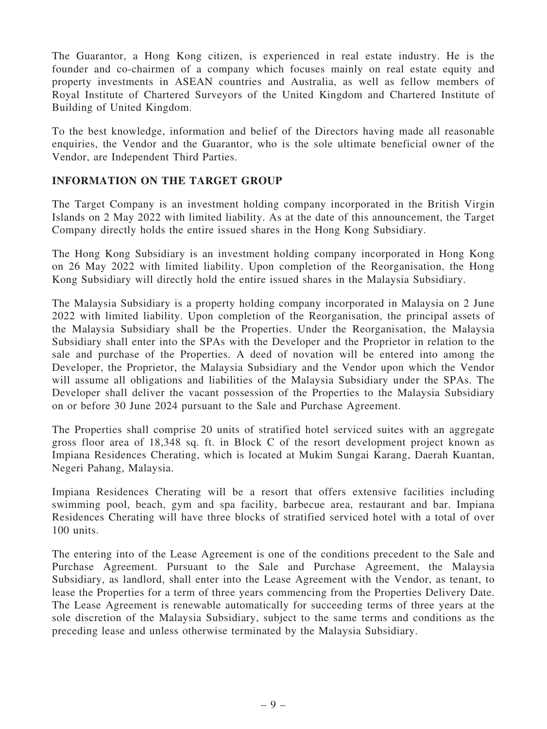The Guarantor, a Hong Kong citizen, is experienced in real estate industry. He is the founder and co-chairmen of a company which focuses mainly on real estate equity and property investments in ASEAN countries and Australia, as well as fellow members of Royal Institute of Chartered Surveyors of the United Kingdom and Chartered Institute of Building of United Kingdom.

To the best knowledge, information and belief of the Directors having made all reasonable enquiries, the Vendor and the Guarantor, who is the sole ultimate beneficial owner of the Vendor, are Independent Third Parties.

#### INFORMATION ON THE TARGET GROUP

The Target Company is an investment holding company incorporated in the British Virgin Islands on 2 May 2022 with limited liability. As at the date of this announcement, the Target Company directly holds the entire issued shares in the Hong Kong Subsidiary.

The Hong Kong Subsidiary is an investment holding company incorporated in Hong Kong on 26 May 2022 with limited liability. Upon completion of the Reorganisation, the Hong Kong Subsidiary will directly hold the entire issued shares in the Malaysia Subsidiary.

The Malaysia Subsidiary is a property holding company incorporated in Malaysia on 2 June 2022 with limited liability. Upon completion of the Reorganisation, the principal assets of the Malaysia Subsidiary shall be the Properties. Under the Reorganisation, the Malaysia Subsidiary shall enter into the SPAs with the Developer and the Proprietor in relation to the sale and purchase of the Properties. A deed of novation will be entered into among the Developer, the Proprietor, the Malaysia Subsidiary and the Vendor upon which the Vendor will assume all obligations and liabilities of the Malaysia Subsidiary under the SPAs. The Developer shall deliver the vacant possession of the Properties to the Malaysia Subsidiary on or before 30 June 2024 pursuant to the Sale and Purchase Agreement.

The Properties shall comprise 20 units of stratified hotel serviced suites with an aggregate gross floor area of 18,348 sq. ft. in Block C of the resort development project known as Impiana Residences Cherating, which is located at Mukim Sungai Karang, Daerah Kuantan, Negeri Pahang, Malaysia.

Impiana Residences Cherating will be a resort that offers extensive facilities including swimming pool, beach, gym and spa facility, barbecue area, restaurant and bar. Impiana Residences Cherating will have three blocks of stratified serviced hotel with a total of over 100 units.

The entering into of the Lease Agreement is one of the conditions precedent to the Sale and Purchase Agreement. Pursuant to the Sale and Purchase Agreement, the Malaysia Subsidiary, as landlord, shall enter into the Lease Agreement with the Vendor, as tenant, to lease the Properties for a term of three years commencing from the Properties Delivery Date. The Lease Agreement is renewable automatically for succeeding terms of three years at the sole discretion of the Malaysia Subsidiary, subject to the same terms and conditions as the preceding lease and unless otherwise terminated by the Malaysia Subsidiary.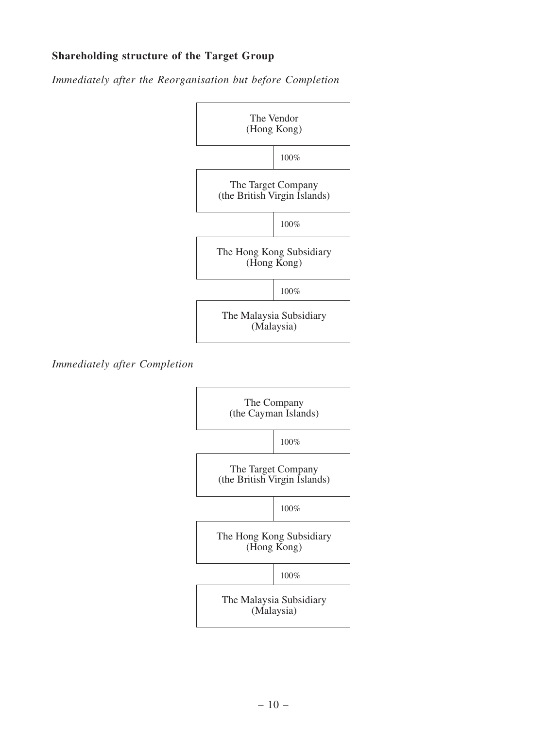# Shareholding structure of the Target Group

*Immediately after the Reorganisation but before Completion*



*Immediately after Completion*

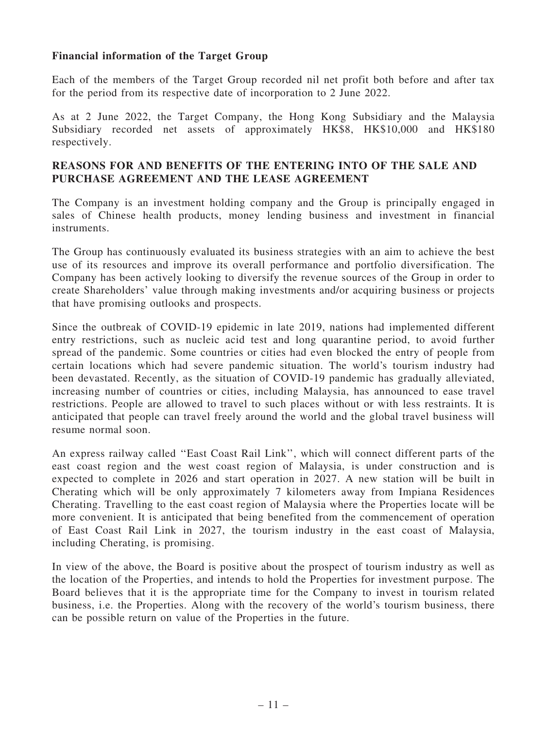### Financial information of the Target Group

Each of the members of the Target Group recorded nil net profit both before and after tax for the period from its respective date of incorporation to 2 June 2022.

As at 2 June 2022, the Target Company, the Hong Kong Subsidiary and the Malaysia Subsidiary recorded net assets of approximately HK\$8, HK\$10,000 and HK\$180 respectively.

### REASONS FOR AND BENEFITS OF THE ENTERING INTO OF THE SALE AND PURCHASE AGREEMENT AND THE LEASE AGREEMENT

The Company is an investment holding company and the Group is principally engaged in sales of Chinese health products, money lending business and investment in financial instruments.

The Group has continuously evaluated its business strategies with an aim to achieve the best use of its resources and improve its overall performance and portfolio diversification. The Company has been actively looking to diversify the revenue sources of the Group in order to create Shareholders' value through making investments and/or acquiring business or projects that have promising outlooks and prospects.

Since the outbreak of COVID-19 epidemic in late 2019, nations had implemented different entry restrictions, such as nucleic acid test and long quarantine period, to avoid further spread of the pandemic. Some countries or cities had even blocked the entry of people from certain locations which had severe pandemic situation. The world's tourism industry had been devastated. Recently, as the situation of COVID-19 pandemic has gradually alleviated, increasing number of countries or cities, including Malaysia, has announced to ease travel restrictions. People are allowed to travel to such places without or with less restraints. It is anticipated that people can travel freely around the world and the global travel business will resume normal soon.

An express railway called ''East Coast Rail Link'', which will connect different parts of the east coast region and the west coast region of Malaysia, is under construction and is expected to complete in 2026 and start operation in 2027. A new station will be built in Cherating which will be only approximately 7 kilometers away from Impiana Residences Cherating. Travelling to the east coast region of Malaysia where the Properties locate will be more convenient. It is anticipated that being benefited from the commencement of operation of East Coast Rail Link in 2027, the tourism industry in the east coast of Malaysia, including Cherating, is promising.

In view of the above, the Board is positive about the prospect of tourism industry as well as the location of the Properties, and intends to hold the Properties for investment purpose. The Board believes that it is the appropriate time for the Company to invest in tourism related business, i.e. the Properties. Along with the recovery of the world's tourism business, there can be possible return on value of the Properties in the future.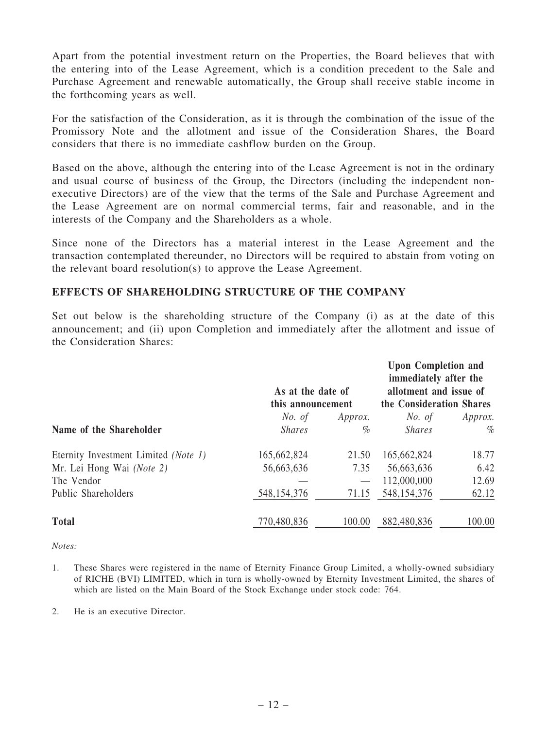Apart from the potential investment return on the Properties, the Board believes that with the entering into of the Lease Agreement, which is a condition precedent to the Sale and Purchase Agreement and renewable automatically, the Group shall receive stable income in the forthcoming years as well.

For the satisfaction of the Consideration, as it is through the combination of the issue of the Promissory Note and the allotment and issue of the Consideration Shares, the Board considers that there is no immediate cashflow burden on the Group.

Based on the above, although the entering into of the Lease Agreement is not in the ordinary and usual course of business of the Group, the Directors (including the independent nonexecutive Directors) are of the view that the terms of the Sale and Purchase Agreement and the Lease Agreement are on normal commercial terms, fair and reasonable, and in the interests of the Company and the Shareholders as a whole.

Since none of the Directors has a material interest in the Lease Agreement and the transaction contemplated thereunder, no Directors will be required to abstain from voting on the relevant board resolution(s) to approve the Lease Agreement.

#### EFFECTS OF SHAREHOLDING STRUCTURE OF THE COMPANY

Set out below is the shareholding structure of the Company (i) as at the date of this announcement; and (ii) upon Completion and immediately after the allotment and issue of the Consideration Shares:

|                                      | As at the date of<br>this announcement |               | <b>Upon Completion and</b><br>immediately after the<br>allotment and issue of<br>the Consideration Shares |                |
|--------------------------------------|----------------------------------------|---------------|-----------------------------------------------------------------------------------------------------------|----------------|
|                                      | No. of                                 | Approx.       | No. of                                                                                                    | <i>Approx.</i> |
| Name of the Shareholder              | <i>Shares</i><br>$\%$                  | <i>Shares</i> | $\%$                                                                                                      |                |
| Eternity Investment Limited (Note 1) | 165,662,824                            | 21.50         | 165,662,824                                                                                               | 18.77          |
| Mr. Lei Hong Wai (Note 2)            | 56,663,636                             | 7.35          | 56,663,636                                                                                                | 6.42           |
| The Vendor                           |                                        |               | 112,000,000                                                                                               | 12.69          |
| Public Shareholders                  | 548, 154, 376                          | 71.15         | 548, 154, 376                                                                                             | 62.12          |
| <b>Total</b>                         | 770,480,836                            | 100.00        | 882,480,836                                                                                               | 100.00         |

*Notes:*

- 1. These Shares were registered in the name of Eternity Finance Group Limited, a wholly-owned subsidiary of RICHE (BVI) LIMITED, which in turn is wholly-owned by Eternity Investment Limited, the shares of which are listed on the Main Board of the Stock Exchange under stock code: 764.
- 2. He is an executive Director.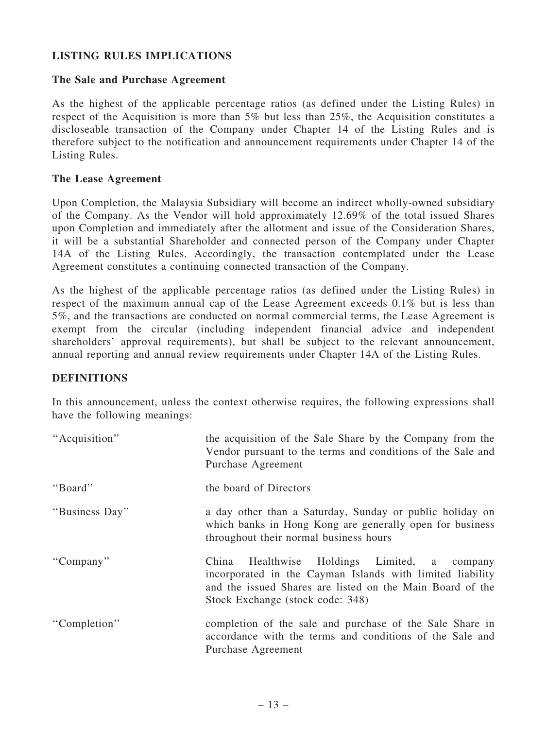# LISTING RULES IMPLICATIONS

#### The Sale and Purchase Agreement

As the highest of the applicable percentage ratios (as defined under the Listing Rules) in respect of the Acquisition is more than 5% but less than 25%, the Acquisition constitutes a discloseable transaction of the Company under Chapter 14 of the Listing Rules and is therefore subject to the notification and announcement requirements under Chapter 14 of the Listing Rules.

#### The Lease Agreement

Upon Completion, the Malaysia Subsidiary will become an indirect wholly-owned subsidiary of the Company. As the Vendor will hold approximately 12.69% of the total issued Shares upon Completion and immediately after the allotment and issue of the Consideration Shares, it will be a substantial Shareholder and connected person of the Company under Chapter 14A of the Listing Rules. Accordingly, the transaction contemplated under the Lease Agreement constitutes a continuing connected transaction of the Company.

As the highest of the applicable percentage ratios (as defined under the Listing Rules) in respect of the maximum annual cap of the Lease Agreement exceeds 0.1% but is less than 5%, and the transactions are conducted on normal commercial terms, the Lease Agreement is exempt from the circular (including independent financial advice and independent shareholders' approval requirements), but shall be subject to the relevant announcement, annual reporting and annual review requirements under Chapter 14A of the Listing Rules.

#### DEFINITIONS

In this announcement, unless the context otherwise requires, the following expressions shall have the following meanings:

| "Acquisition"  | the acquisition of the Sale Share by the Company from the<br>Vendor pursuant to the terms and conditions of the Sale and<br>Purchase Agreement                                                                |
|----------------|---------------------------------------------------------------------------------------------------------------------------------------------------------------------------------------------------------------|
| "Board"        | the board of Directors                                                                                                                                                                                        |
| "Business Day" | a day other than a Saturday, Sunday or public holiday on<br>which banks in Hong Kong are generally open for business<br>throughout their normal business hours                                                |
| "Company"      | Healthwise Holdings Limited, a company<br>China<br>incorporated in the Cayman Islands with limited liability<br>and the issued Shares are listed on the Main Board of the<br>Stock Exchange (stock code: 348) |
| "Completion"   | completion of the sale and purchase of the Sale Share in<br>accordance with the terms and conditions of the Sale and<br>Purchase Agreement                                                                    |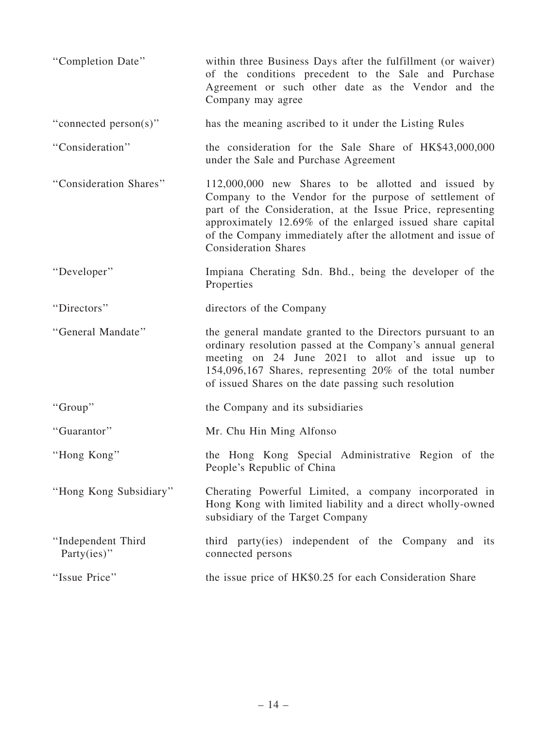| "Completion Date"                     | within three Business Days after the fulfillment (or waiver)<br>of the conditions precedent to the Sale and Purchase<br>Agreement or such other date as the Vendor and the<br>Company may agree                                                                                                                                         |
|---------------------------------------|-----------------------------------------------------------------------------------------------------------------------------------------------------------------------------------------------------------------------------------------------------------------------------------------------------------------------------------------|
| "connected person(s)"                 | has the meaning ascribed to it under the Listing Rules                                                                                                                                                                                                                                                                                  |
| "Consideration"                       | the consideration for the Sale Share of HK\$43,000,000<br>under the Sale and Purchase Agreement                                                                                                                                                                                                                                         |
| "Consideration Shares"                | 112,000,000 new Shares to be allotted and issued by<br>Company to the Vendor for the purpose of settlement of<br>part of the Consideration, at the Issue Price, representing<br>approximately 12.69% of the enlarged issued share capital<br>of the Company immediately after the allotment and issue of<br><b>Consideration Shares</b> |
| "Developer"                           | Impiana Cherating Sdn. Bhd., being the developer of the<br>Properties                                                                                                                                                                                                                                                                   |
| "Directors"                           | directors of the Company                                                                                                                                                                                                                                                                                                                |
| "General Mandate"                     | the general mandate granted to the Directors pursuant to an<br>ordinary resolution passed at the Company's annual general<br>meeting on 24 June 2021 to allot and issue up to<br>154,096,167 Shares, representing 20% of the total number<br>of issued Shares on the date passing such resolution                                       |
| "Group"                               | the Company and its subsidiaries                                                                                                                                                                                                                                                                                                        |
| "Guarantor"                           | Mr. Chu Hin Ming Alfonso                                                                                                                                                                                                                                                                                                                |
| "Hong Kong"                           | the Hong Kong Special Administrative Region of the<br>People's Republic of China                                                                                                                                                                                                                                                        |
| "Hong Kong Subsidiary"                | Cherating Powerful Limited, a company incorporated in<br>Hong Kong with limited liability and a direct wholly-owned<br>subsidiary of the Target Company                                                                                                                                                                                 |
| "Independent Third<br>Party $(ies)$ " | third party(ies) independent of the Company and its<br>connected persons                                                                                                                                                                                                                                                                |
| "Issue Price"                         | the issue price of HK\$0.25 for each Consideration Share                                                                                                                                                                                                                                                                                |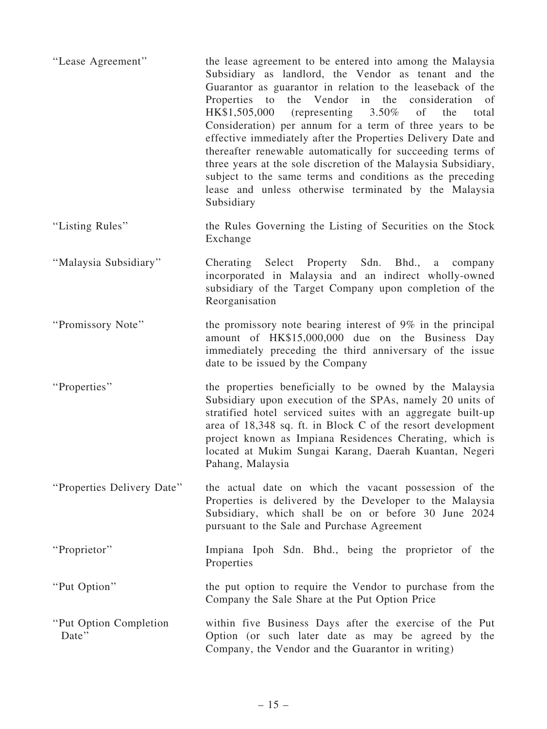| "Lease Agreement"                | the lease agreement to be entered into among the Malaysia<br>Subsidiary as landlord, the Vendor as tenant and the<br>Guarantor as guarantor in relation to the leaseback of the<br>Properties to<br>the Vendor in the consideration of<br>HK\$1,505,000<br>(representing $3.50\%$<br>of<br>the<br>total<br>Consideration) per annum for a term of three years to be<br>effective immediately after the Properties Delivery Date and<br>thereafter renewable automatically for succeeding terms of<br>three years at the sole discretion of the Malaysia Subsidiary,<br>subject to the same terms and conditions as the preceding<br>lease and unless otherwise terminated by the Malaysia<br>Subsidiary |
|----------------------------------|---------------------------------------------------------------------------------------------------------------------------------------------------------------------------------------------------------------------------------------------------------------------------------------------------------------------------------------------------------------------------------------------------------------------------------------------------------------------------------------------------------------------------------------------------------------------------------------------------------------------------------------------------------------------------------------------------------|
| "Listing Rules"                  | the Rules Governing the Listing of Securities on the Stock<br>Exchange                                                                                                                                                                                                                                                                                                                                                                                                                                                                                                                                                                                                                                  |
| "Malaysia Subsidiary"            | Cherating Select Property Sdn. Bhd., a<br>company<br>incorporated in Malaysia and an indirect wholly-owned<br>subsidiary of the Target Company upon completion of the<br>Reorganisation                                                                                                                                                                                                                                                                                                                                                                                                                                                                                                                 |
| "Promissory Note"                | the promissory note bearing interest of $9\%$ in the principal<br>amount of HK\$15,000,000 due on the Business Day<br>immediately preceding the third anniversary of the issue<br>date to be issued by the Company                                                                                                                                                                                                                                                                                                                                                                                                                                                                                      |
| "Properties"                     | the properties beneficially to be owned by the Malaysia<br>Subsidiary upon execution of the SPAs, namely 20 units of<br>stratified hotel serviced suites with an aggregate built-up<br>area of 18,348 sq. ft. in Block C of the resort development<br>project known as Impiana Residences Cherating, which is<br>located at Mukim Sungai Karang, Daerah Kuantan, Negeri<br>Pahang, Malaysia                                                                                                                                                                                                                                                                                                             |
| "Properties Delivery Date"       | the actual date on which the vacant possession of the<br>Properties is delivered by the Developer to the Malaysia<br>Subsidiary, which shall be on or before 30 June 2024<br>pursuant to the Sale and Purchase Agreement                                                                                                                                                                                                                                                                                                                                                                                                                                                                                |
| "Proprietor"                     | Impiana Ipoh Sdn. Bhd., being the proprietor of the<br>Properties                                                                                                                                                                                                                                                                                                                                                                                                                                                                                                                                                                                                                                       |
| "Put Option"                     | the put option to require the Vendor to purchase from the<br>Company the Sale Share at the Put Option Price                                                                                                                                                                                                                                                                                                                                                                                                                                                                                                                                                                                             |
| "Put Option Completion"<br>Date" | within five Business Days after the exercise of the Put<br>Option (or such later date as may be agreed by the<br>Company, the Vendor and the Guarantor in writing)                                                                                                                                                                                                                                                                                                                                                                                                                                                                                                                                      |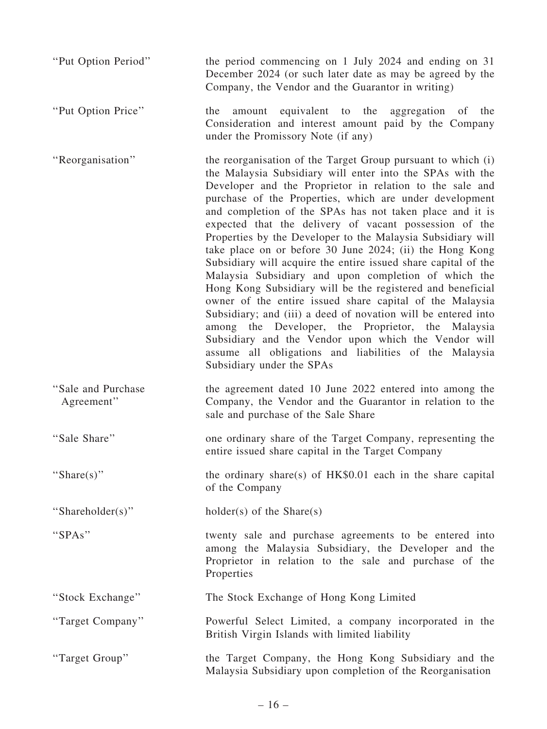| "Put Option Period"               | the period commencing on 1 July 2024 and ending on 31<br>December 2024 (or such later date as may be agreed by the<br>Company, the Vendor and the Guarantor in writing)                                                                                                                                                                                                                                                                                                                                                                                                                                                                                                                                                                                                                                                                                                                                                                                                                                                    |
|-----------------------------------|----------------------------------------------------------------------------------------------------------------------------------------------------------------------------------------------------------------------------------------------------------------------------------------------------------------------------------------------------------------------------------------------------------------------------------------------------------------------------------------------------------------------------------------------------------------------------------------------------------------------------------------------------------------------------------------------------------------------------------------------------------------------------------------------------------------------------------------------------------------------------------------------------------------------------------------------------------------------------------------------------------------------------|
| "Put Option Price"                | equivalent to the aggregation of<br>the<br>the<br>amount<br>Consideration and interest amount paid by the Company<br>under the Promissory Note (if any)                                                                                                                                                                                                                                                                                                                                                                                                                                                                                                                                                                                                                                                                                                                                                                                                                                                                    |
| "Reorganisation"                  | the reorganisation of the Target Group pursuant to which (i)<br>the Malaysia Subsidiary will enter into the SPAs with the<br>Developer and the Proprietor in relation to the sale and<br>purchase of the Properties, which are under development<br>and completion of the SPAs has not taken place and it is<br>expected that the delivery of vacant possession of the<br>Properties by the Developer to the Malaysia Subsidiary will<br>take place on or before 30 June 2024; (ii) the Hong Kong<br>Subsidiary will acquire the entire issued share capital of the<br>Malaysia Subsidiary and upon completion of which the<br>Hong Kong Subsidiary will be the registered and beneficial<br>owner of the entire issued share capital of the Malaysia<br>Subsidiary; and (iii) a deed of novation will be entered into<br>among the Developer, the Proprietor, the Malaysia<br>Subsidiary and the Vendor upon which the Vendor will<br>assume all obligations and liabilities of the Malaysia<br>Subsidiary under the SPAs |
| "Sale and Purchase"<br>Agreement" | the agreement dated 10 June 2022 entered into among the<br>Company, the Vendor and the Guarantor in relation to the<br>sale and purchase of the Sale Share                                                                                                                                                                                                                                                                                                                                                                                                                                                                                                                                                                                                                                                                                                                                                                                                                                                                 |
| "Sale Share"                      | one ordinary share of the Target Company, representing the<br>entire issued share capital in the Target Company                                                                                                                                                                                                                                                                                                                                                                                                                                                                                                                                                                                                                                                                                                                                                                                                                                                                                                            |
| "Share(s)"                        | the ordinary share(s) of $HK$0.01$ each in the share capital<br>of the Company                                                                                                                                                                                                                                                                                                                                                                                                                                                                                                                                                                                                                                                                                                                                                                                                                                                                                                                                             |
| "Shareholder(s)"                  | $holder(s)$ of the Share(s)                                                                                                                                                                                                                                                                                                                                                                                                                                                                                                                                                                                                                                                                                                                                                                                                                                                                                                                                                                                                |
| "SPAs"                            | twenty sale and purchase agreements to be entered into<br>among the Malaysia Subsidiary, the Developer and the<br>Proprietor in relation to the sale and purchase of the<br>Properties                                                                                                                                                                                                                                                                                                                                                                                                                                                                                                                                                                                                                                                                                                                                                                                                                                     |
| "Stock Exchange"                  | The Stock Exchange of Hong Kong Limited                                                                                                                                                                                                                                                                                                                                                                                                                                                                                                                                                                                                                                                                                                                                                                                                                                                                                                                                                                                    |
| "Target Company"                  | Powerful Select Limited, a company incorporated in the<br>British Virgin Islands with limited liability                                                                                                                                                                                                                                                                                                                                                                                                                                                                                                                                                                                                                                                                                                                                                                                                                                                                                                                    |
| "Target Group"                    | the Target Company, the Hong Kong Subsidiary and the<br>Malaysia Subsidiary upon completion of the Reorganisation                                                                                                                                                                                                                                                                                                                                                                                                                                                                                                                                                                                                                                                                                                                                                                                                                                                                                                          |